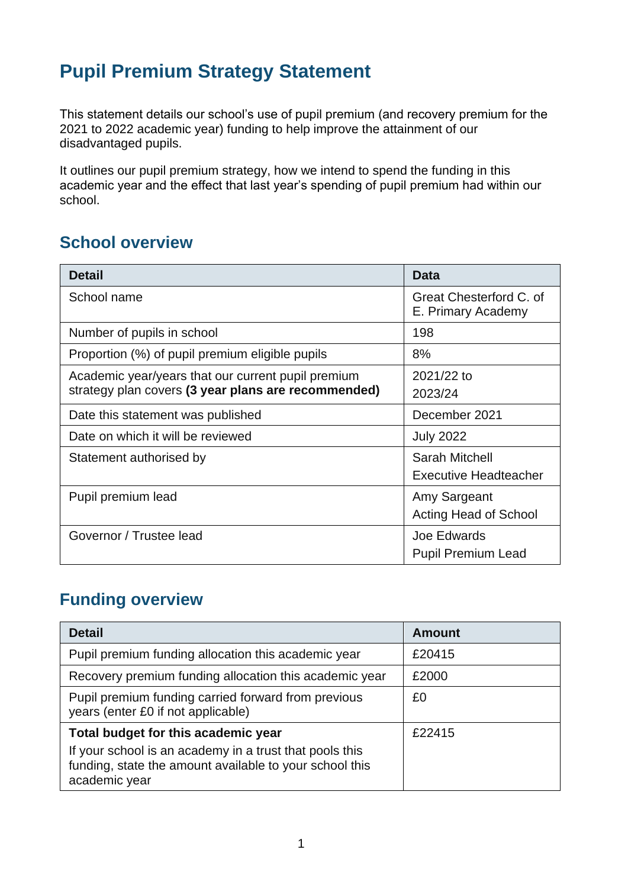# **Pupil Premium Strategy Statement**

This statement details our school's use of pupil premium (and recovery premium for the 2021 to 2022 academic year) funding to help improve the attainment of our disadvantaged pupils.

It outlines our pupil premium strategy, how we intend to spend the funding in this academic year and the effect that last year's spending of pupil premium had within our school.

#### **School overview**

| <b>Detail</b>                                       | <b>Data</b>                                   |
|-----------------------------------------------------|-----------------------------------------------|
| School name                                         | Great Chesterford C. of<br>E. Primary Academy |
| Number of pupils in school                          | 198                                           |
| Proportion (%) of pupil premium eligible pupils     | 8%                                            |
| Academic year/years that our current pupil premium  | 2021/22 to                                    |
| strategy plan covers (3 year plans are recommended) | 2023/24                                       |
| Date this statement was published                   | December 2021                                 |
| Date on which it will be reviewed                   | <b>July 2022</b>                              |
| Statement authorised by                             | <b>Sarah Mitchell</b>                         |
|                                                     | <b>Executive Headteacher</b>                  |
| Pupil premium lead                                  | Amy Sargeant                                  |
|                                                     | <b>Acting Head of School</b>                  |
| Governor / Trustee lead                             | Joe Edwards                                   |
|                                                     | <b>Pupil Premium Lead</b>                     |

### **Funding overview**

| <b>Detail</b>                                                                                                                                                              | Amount |
|----------------------------------------------------------------------------------------------------------------------------------------------------------------------------|--------|
| Pupil premium funding allocation this academic year                                                                                                                        | £20415 |
| Recovery premium funding allocation this academic year                                                                                                                     | £2000  |
| Pupil premium funding carried forward from previous<br>years (enter £0 if not applicable)                                                                                  | £0     |
| Total budget for this academic year<br>If your school is an academy in a trust that pools this<br>funding, state the amount available to your school this<br>academic year | £22415 |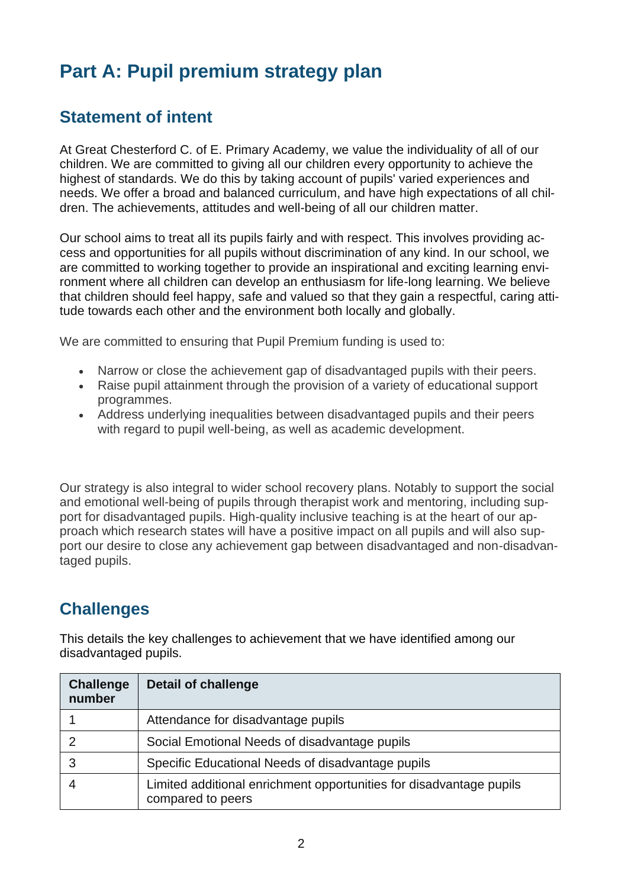# **Part A: Pupil premium strategy plan**

### **Statement of intent**

At Great Chesterford C. of E. Primary Academy, we value the individuality of all of our children. We are committed to giving all our children every opportunity to achieve the highest of standards. We do this by taking account of pupils' varied experiences and needs. We offer a broad and balanced curriculum, and have high expectations of all children. The achievements, attitudes and well-being of all our children matter.

Our school aims to treat all its pupils fairly and with respect. This involves providing access and opportunities for all pupils without discrimination of any kind. In our school, we are committed to working together to provide an inspirational and exciting learning environment where all children can develop an enthusiasm for life-long learning. We believe that children should feel happy, safe and valued so that they gain a respectful, caring attitude towards each other and the environment both locally and globally.

We are committed to ensuring that Pupil Premium funding is used to:

- Narrow or close the achievement gap of disadvantaged pupils with their peers.
- Raise pupil attainment through the provision of a variety of educational support programmes.
- Address underlying inequalities between disadvantaged pupils and their peers with regard to pupil well-being, as well as academic development.

Our strategy is also integral to wider school recovery plans. Notably to support the social and emotional well-being of pupils through therapist work and mentoring, including support for disadvantaged pupils. High-quality inclusive teaching is at the heart of our approach which research states will have a positive impact on all pupils and will also support our desire to close any achievement gap between disadvantaged and non-disadvantaged pupils.

### **Challenges**

This details the key challenges to achievement that we have identified among our disadvantaged pupils.

| <b>Challenge</b><br>number | <b>Detail of challenge</b>                                                               |
|----------------------------|------------------------------------------------------------------------------------------|
|                            | Attendance for disadvantage pupils                                                       |
| າ                          | Social Emotional Needs of disadvantage pupils                                            |
| 3                          | Specific Educational Needs of disadvantage pupils                                        |
|                            | Limited additional enrichment opportunities for disadvantage pupils<br>compared to peers |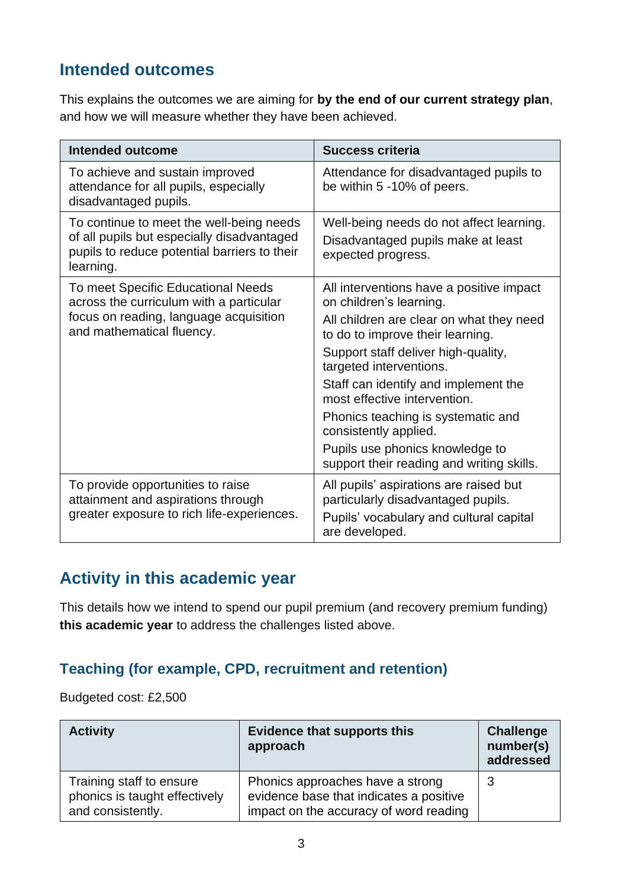# **Intended outcomes**

This explains the outcomes we are aiming for **by the end of our current strategy plan**, and how we will measure whether they have been achieved.

| <b>Intended outcome</b>                                                                                                                              | <b>Success criteria</b>                                                                                                                   |
|------------------------------------------------------------------------------------------------------------------------------------------------------|-------------------------------------------------------------------------------------------------------------------------------------------|
| To achieve and sustain improved<br>attendance for all pupils, especially<br>disadvantaged pupils.                                                    | Attendance for disadvantaged pupils to<br>be within 5 -10% of peers.                                                                      |
| To continue to meet the well-being needs<br>of all pupils but especially disadvantaged<br>pupils to reduce potential barriers to their<br>learning.  | Well-being needs do not affect learning.<br>Disadvantaged pupils make at least<br>expected progress.                                      |
| To meet Specific Educational Needs<br>across the curriculum with a particular<br>focus on reading, language acquisition<br>and mathematical fluency. | All interventions have a positive impact<br>on children's learning.                                                                       |
|                                                                                                                                                      | All children are clear on what they need<br>to do to improve their learning.                                                              |
|                                                                                                                                                      | Support staff deliver high-quality,<br>targeted interventions.                                                                            |
|                                                                                                                                                      | Staff can identify and implement the<br>most effective intervention.                                                                      |
|                                                                                                                                                      | Phonics teaching is systematic and<br>consistently applied.                                                                               |
|                                                                                                                                                      | Pupils use phonics knowledge to<br>support their reading and writing skills.                                                              |
| To provide opportunities to raise<br>attainment and aspirations through<br>greater exposure to rich life-experiences.                                | All pupils' aspirations are raised but<br>particularly disadvantaged pupils.<br>Pupils' vocabulary and cultural capital<br>are developed. |

# **Activity in this academic year**

This details how we intend to spend our pupil premium (and recovery premium funding) **this academic year** to address the challenges listed above.

#### **Teaching (for example, CPD, recruitment and retention)**

Budgeted cost: £2,500

| <b>Activity</b>                                                                | <b>Evidence that supports this</b><br>approach                                                                        | <b>Challenge</b><br>number(s)<br>addressed |
|--------------------------------------------------------------------------------|-----------------------------------------------------------------------------------------------------------------------|--------------------------------------------|
| Training staff to ensure<br>phonics is taught effectively<br>and consistently. | Phonics approaches have a strong<br>evidence base that indicates a positive<br>impact on the accuracy of word reading | 3                                          |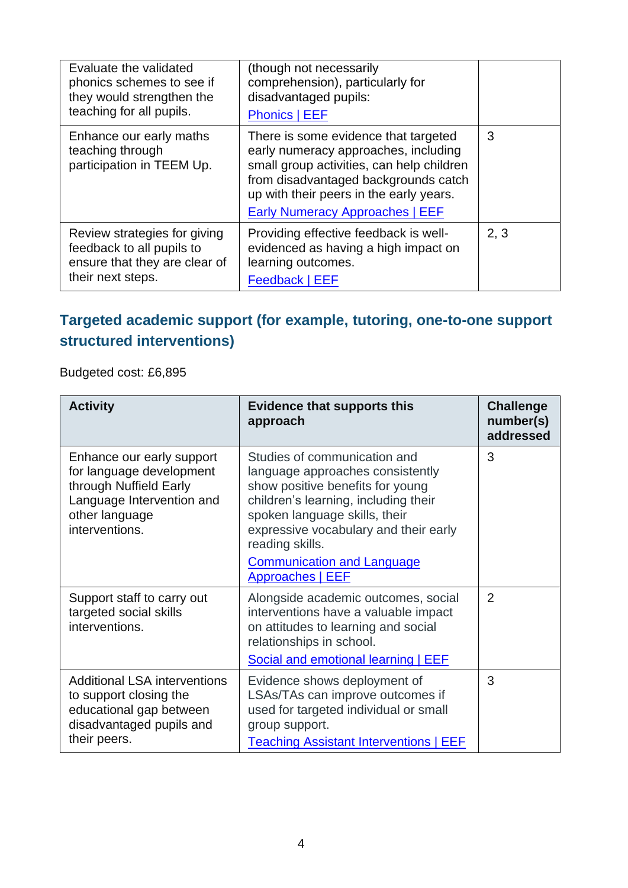| Evaluate the validated<br>phonics schemes to see if<br>they would strengthen the<br>teaching for all pupils.    | (though not necessarily<br>comprehension), particularly for<br>disadvantaged pupils:<br><b>Phonics   EEF</b>                                                                                                                                           |      |
|-----------------------------------------------------------------------------------------------------------------|--------------------------------------------------------------------------------------------------------------------------------------------------------------------------------------------------------------------------------------------------------|------|
| Enhance our early maths<br>teaching through<br>participation in TEEM Up.                                        | There is some evidence that targeted<br>early numeracy approaches, including<br>small group activities, can help children<br>from disadvantaged backgrounds catch<br>up with their peers in the early years.<br><b>Early Numeracy Approaches   EEF</b> | 3    |
| Review strategies for giving<br>feedback to all pupils to<br>ensure that they are clear of<br>their next steps. | Providing effective feedback is well-<br>evidenced as having a high impact on<br>learning outcomes.<br>Feedback   EEF                                                                                                                                  | 2, 3 |

#### **Targeted academic support (for example, tutoring, one-to-one support structured interventions)**

Budgeted cost: £6,895

| <b>Activity</b>                                                                                                                                  | <b>Evidence that supports this</b><br>approach                                                                                                                                                                                                                                                            | <b>Challenge</b><br>number(s)<br>addressed |
|--------------------------------------------------------------------------------------------------------------------------------------------------|-----------------------------------------------------------------------------------------------------------------------------------------------------------------------------------------------------------------------------------------------------------------------------------------------------------|--------------------------------------------|
| Enhance our early support<br>for language development<br>through Nuffield Early<br>Language Intervention and<br>other language<br>interventions. | Studies of communication and<br>language approaches consistently<br>show positive benefits for young<br>children's learning, including their<br>spoken language skills, their<br>expressive vocabulary and their early<br>reading skills.<br><b>Communication and Language</b><br><b>Approaches   EEF</b> | 3                                          |
| Support staff to carry out<br>targeted social skills<br>interventions.                                                                           | Alongside academic outcomes, social<br>interventions have a valuable impact<br>on attitudes to learning and social<br>relationships in school.<br><b>Social and emotional learning   EEF</b>                                                                                                              | $\overline{2}$                             |
| <b>Additional LSA interventions</b><br>to support closing the<br>educational gap between<br>disadvantaged pupils and<br>their peers.             | Evidence shows deployment of<br>LSAs/TAs can improve outcomes if<br>used for targeted individual or small<br>group support.<br><b>Teaching Assistant Interventions   EEF</b>                                                                                                                              | 3                                          |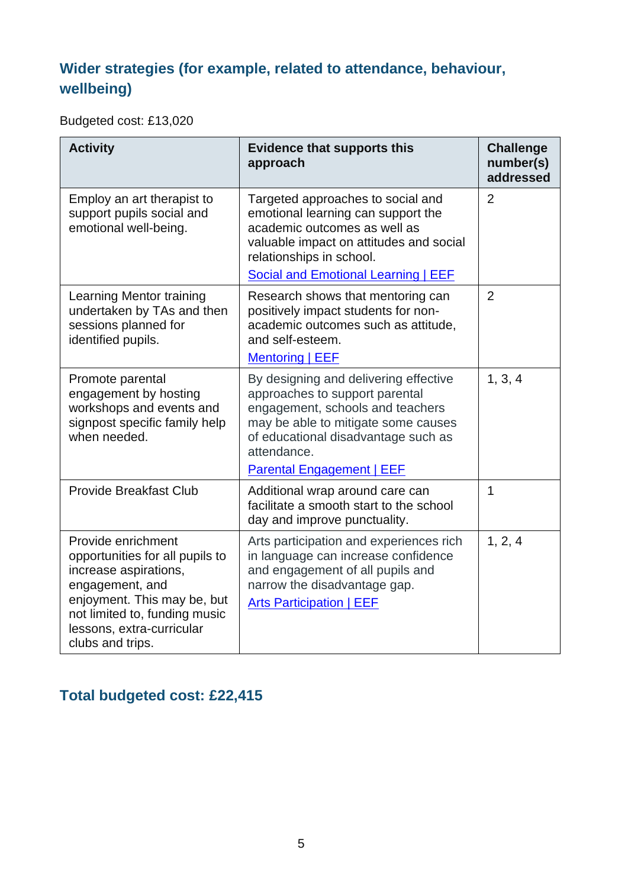# **Wider strategies (for example, related to attendance, behaviour, wellbeing)**

Budgeted cost: £13,020

| <b>Activity</b>                                                                                                                                                                                                    | <b>Evidence that supports this</b><br>approach                                                                                                                                                                                               | <b>Challenge</b><br>number(s)<br>addressed |
|--------------------------------------------------------------------------------------------------------------------------------------------------------------------------------------------------------------------|----------------------------------------------------------------------------------------------------------------------------------------------------------------------------------------------------------------------------------------------|--------------------------------------------|
| Employ an art therapist to<br>support pupils social and<br>emotional well-being.                                                                                                                                   | Targeted approaches to social and<br>emotional learning can support the<br>academic outcomes as well as<br>valuable impact on attitudes and social<br>relationships in school.<br>Social and Emotional Learning   EEF                        | $\overline{2}$                             |
| Learning Mentor training<br>undertaken by TAs and then<br>sessions planned for<br>identified pupils.                                                                                                               | Research shows that mentoring can<br>positively impact students for non-<br>academic outcomes such as attitude,<br>and self-esteem.<br><b>Mentoring   EEF</b>                                                                                | $\overline{2}$                             |
| Promote parental<br>engagement by hosting<br>workshops and events and<br>signpost specific family help<br>when needed.                                                                                             | By designing and delivering effective<br>approaches to support parental<br>engagement, schools and teachers<br>may be able to mitigate some causes<br>of educational disadvantage such as<br>attendance.<br><b>Parental Engagement   EEF</b> | 1, 3, 4                                    |
| <b>Provide Breakfast Club</b>                                                                                                                                                                                      | Additional wrap around care can<br>facilitate a smooth start to the school<br>day and improve punctuality.                                                                                                                                   | $\mathbf 1$                                |
| Provide enrichment<br>opportunities for all pupils to<br>increase aspirations,<br>engagement, and<br>enjoyment. This may be, but<br>not limited to, funding music<br>lessons, extra-curricular<br>clubs and trips. | Arts participation and experiences rich<br>in language can increase confidence<br>and engagement of all pupils and<br>narrow the disadvantage gap.<br><b>Arts Participation   EEF</b>                                                        | 1, 2, 4                                    |

# **Total budgeted cost: £22,415**